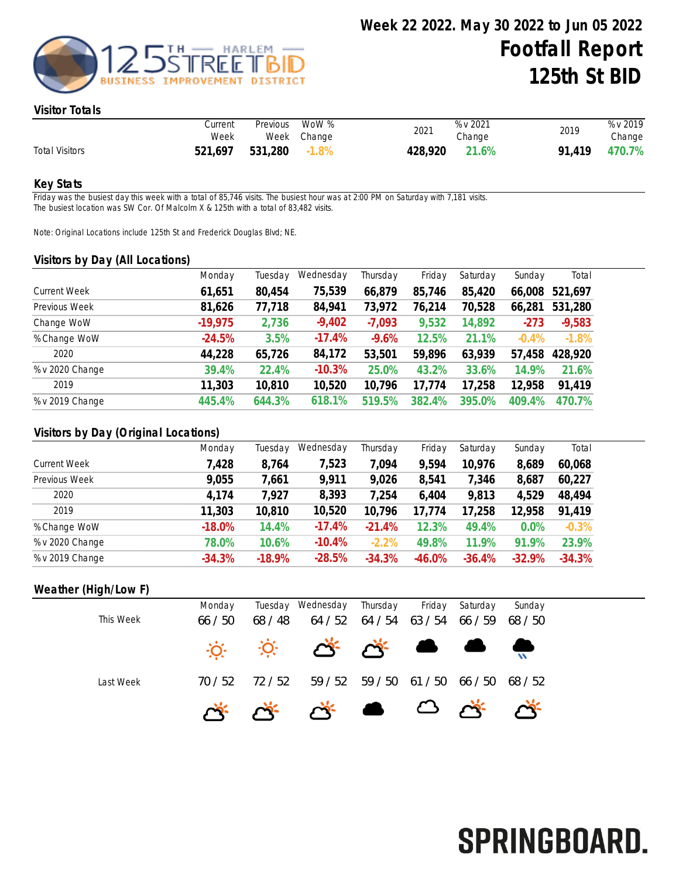

#### Visitor Totals

|                       | Current<br>Week | Previous | WoW %<br>Week Change | 2021    | % v 2021<br>Change | 2019   | % v 2019<br>Change |
|-----------------------|-----------------|----------|----------------------|---------|--------------------|--------|--------------------|
| <b>Total Visitors</b> | 521.697         | 531,280  | $-1.8\%$             | 428,920 | 21.6%              | 91.419 | 470.7%             |

#### Key Stats

Friday was the busiest day this week with a total of 85,746 visits. The busiest hour was at 2:00 PM on Saturday with 7,181 visits. The busiest location was SW Cor. Of Malcolm X & 125th with a total of 83,482 visits.

Note: Original Locations include 125th St and Frederick Douglas Blvd; NE.

#### Visitors by Day (All Locations)

|                     | Monday    | Tuesday | Wednesday | Thursday | Friday | Saturday | Sunday  | Total    |
|---------------------|-----------|---------|-----------|----------|--------|----------|---------|----------|
| <b>Current Week</b> | 61,651    | 80,454  | 75,539    | 66,879   | 85,746 | 85,420   | 66,008  | 521,697  |
| Previous Week       | 81,626    | 77,718  | 84,941    | 73,972   | 76,214 | 70,528   | 66,281  | 531,280  |
| Change WoW          | $-19,975$ | 2,736   | $-9,402$  | $-7,093$ | 9,532  | 14,892   | $-273$  | $-9,583$ |
| % Change WoW        | $-24.5%$  | 3.5%    | $-17.4%$  | $-9.6%$  | 12.5%  | 21.1%    | $-0.4%$ | $-1.8%$  |
| 2020                | 44,228    | 65,726  | 84,172    | 53,501   | 59,896 | 63,939   | 57,458  | 428,920  |
| % v 2020 Change     | 39.4%     | 22.4%   | $-10.3%$  | 25.0%    | 43.2%  | 33.6%    | 14.9%   | 21.6%    |
| 2019                | 11,303    | 10,810  | 10,520    | 10,796   | 17,774 | 17,258   | 12,958  | 91,419   |
| % v 2019 Change     | 445.4%    | 644.3%  | 618.1%    | 519.5%   | 382.4% | 395.0%   | 409.4%  | 470.7%   |
|                     |           |         |           |          |        |          |         |          |

## Visitors by Day (Original Locations)

|                     | Monday   | Tuesday  | Wednesday | Thursday | Friday   | Saturday | Sunday   | Total    |
|---------------------|----------|----------|-----------|----------|----------|----------|----------|----------|
| <b>Current Week</b> | 7,428    | 8,764    | 7,523     | 7,094    | 9,594    | 10,976   | 8,689    | 60,068   |
| Previous Week       | 9,055    | 1,661    | 9,911     | 9,026    | 8,541    | 7,346    | 8,687    | 60,227   |
| 2020                | 4,174    | 7,927    | 8,393     | 7,254    | 6,404    | 9,813    | 4,529    | 48,494   |
| 2019                | 11,303   | 10,810   | 10,520    | 10,796   | 17,774   | 17,258   | 12,958   | 91,419   |
| % Change WoW        | $-18.0%$ | 14.4%    | $-17.4%$  | $-21.4%$ | 12.3%    | 49.4%    | 0.0%     | $-0.3%$  |
| % v 2020 Change     | 78.0%    | 10.6%    | $-10.4%$  | $-2.2%$  | 49.8%    | 11.9%    | 91.9%    | 23.9%    |
| % v 2019 Change     | $-34.3%$ | $-18.9%$ | $-28.5%$  | $-34.3%$ | $-46.0%$ | $-36.4%$ | $-32.9%$ | $-34.3%$ |

## Weather (High/Low F)

| This Week | Monday<br>66 / 50 | 68 / 48 | Tuesday Wednesday Thursday Friday Saturday<br>64 / 52 64 / 54 63 / 54 66 / 59 68 / 50                                              |                                         |  | Sunday |
|-----------|-------------------|---------|------------------------------------------------------------------------------------------------------------------------------------|-----------------------------------------|--|--------|
|           |                   |         |                                                                                                                                    |                                         |  |        |
|           |                   |         | $\begin{array}{ccccccccccccccccc} \circ & \circ & \circ & \circ & \circ & \circ & \circ & \bullet & \bullet & \bullet \end{array}$ |                                         |  |        |
| Last Week | 70 / 52           | 72 / 52 |                                                                                                                                    | 59 / 52 59 / 50 61 / 50 66 / 50 68 / 52 |  |        |
|           |                   |         | G G G G G G G G                                                                                                                    |                                         |  |        |

# SPRINGBOARD.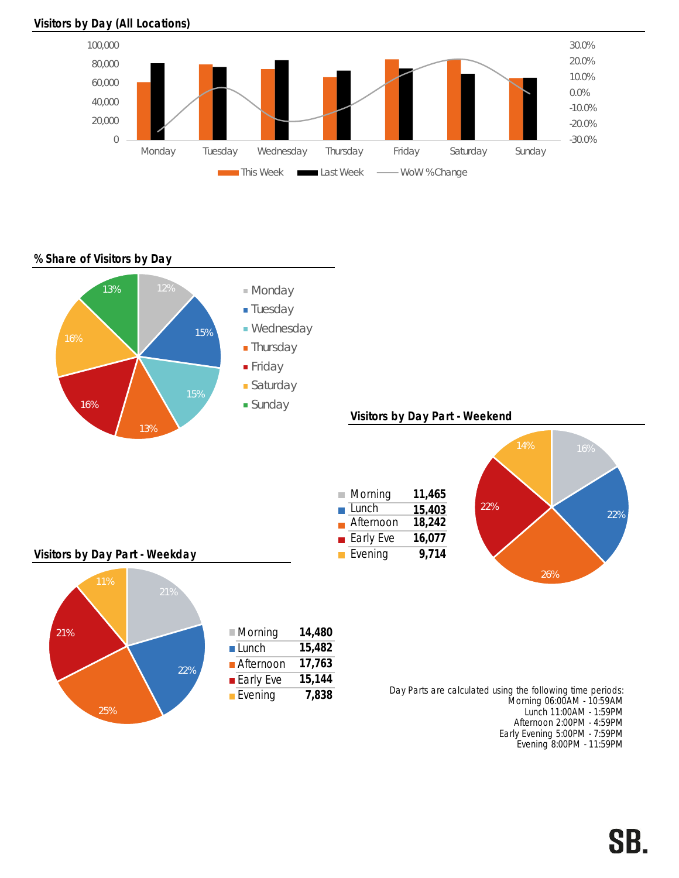



% Share of Visitors by Day



Early Evening 5:00PM - 7:59PM Evening 8:00PM - 11:59PM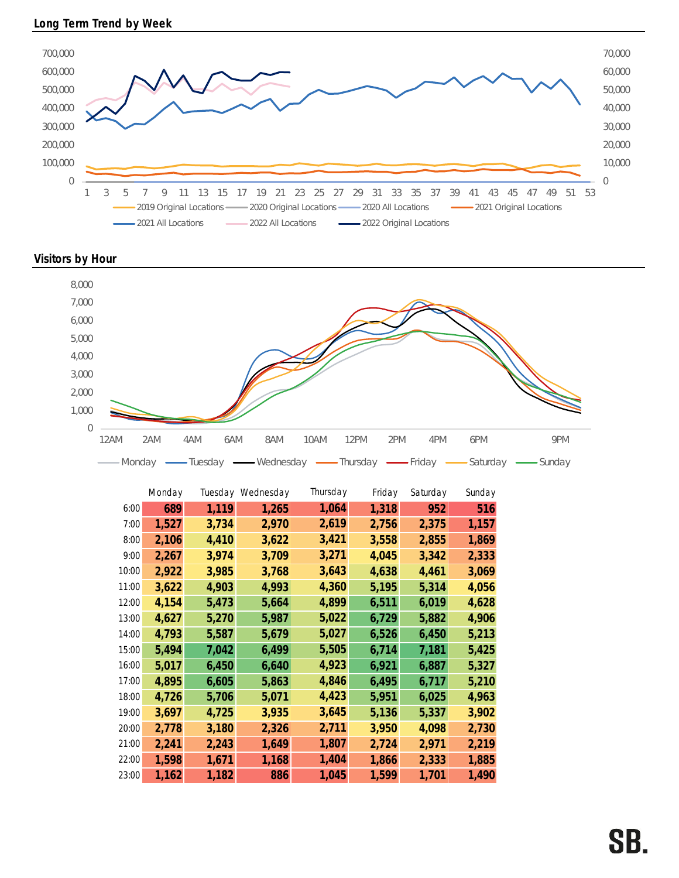

Visitors by Hour



|       | Monday |       | Tuesday Wednesday | Thursday | Friday | Saturday | Sunday |
|-------|--------|-------|-------------------|----------|--------|----------|--------|
| 6:00  | 689    | 1,119 | 1,265             | 1,064    | 1,318  | 952      | 516    |
| 7:00  | 1,527  | 3,734 | 2,970             | 2,619    | 2,756  | 2,375    | 1,157  |
| 8:00  | 2,106  | 4,410 | 3,622             | 3,421    | 3,558  | 2,855    | 1,869  |
| 9:00  | 2,267  | 3,974 | 3,709             | 3,271    | 4,045  | 3,342    | 2,333  |
| 10:00 | 2,922  | 3,985 | 3,768             | 3,643    | 4,638  | 4,461    | 3,069  |
| 11:00 | 3,622  | 4,903 | 4,993             | 4,360    | 5,195  | 5,314    | 4,056  |
| 12:00 | 4,154  | 5,473 | 5,664             | 4,899    | 6,511  | 6,019    | 4,628  |
| 13:00 | 4,627  | 5,270 | 5,987             | 5,022    | 6,729  | 5,882    | 4,906  |
| 14:00 | 4,793  | 5,587 | 5,679             | 5,027    | 6,526  | 6,450    | 5,213  |
| 15:00 | 5,494  | 7,042 | 6,499             | 5,505    | 6,714  | 7,181    | 5,425  |
| 16:00 | 5,017  | 6,450 | 6,640             | 4,923    | 6,921  | 6,887    | 5,327  |
| 17:00 | 4,895  | 6,605 | 5,863             | 4,846    | 6,495  | 6,717    | 5,210  |
| 18:00 | 4,726  | 5,706 | 5,071             | 4,423    | 5,951  | 6,025    | 4,963  |
| 19:00 | 3,697  | 4,725 | 3,935             | 3,645    | 5,136  | 5,337    | 3,902  |
| 20:00 | 2,778  | 3,180 | 2,326             | 2,711    | 3,950  | 4,098    | 2,730  |
| 21:00 | 2,241  | 2,243 | 1,649             | 1,807    | 2,724  | 2,971    | 2,219  |
| 22:00 | 1,598  | 1,671 | 1,168             | 1,404    | 1,866  | 2,333    | 1,885  |
| 23:00 | 1,162  | 1,182 | 886               | 1,045    | 1,599  | 1,701    | 1,490  |